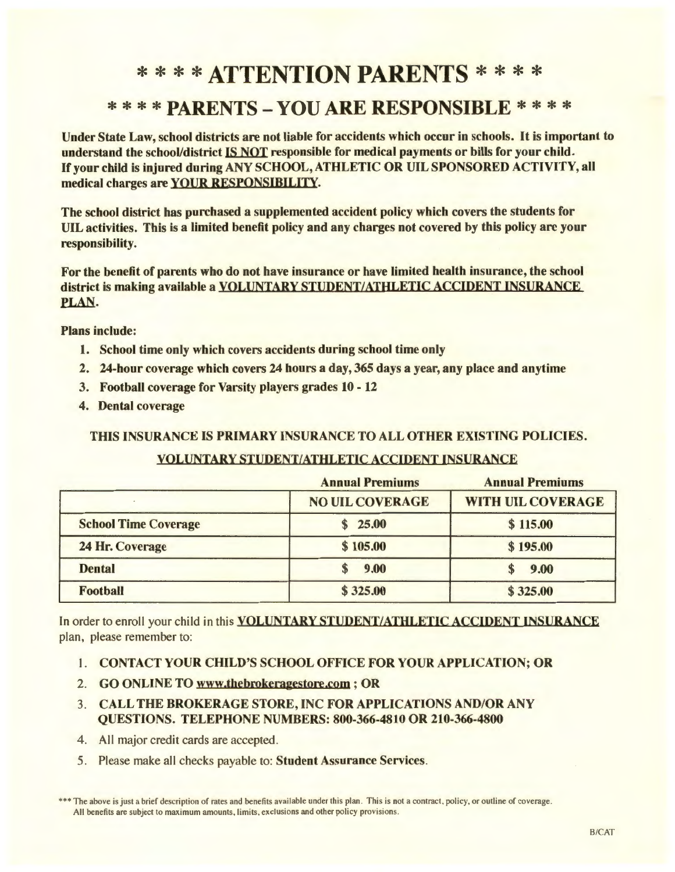# \* \* \* **\*ATTENTION PARENTS** \* \* \* \*

# \* \* \* \* **PARENTS - YOU ARE RESPONSIBLE** \* \* \* \*

Under State Law, school districts are not liable for accidents which occur in schools. It is important to understand the school/district IS NOT responsible for medical payments or bills for your child. If your child is injured during ANY SCHOOL, ATHLETIC OR UIL SPONSORED ACTIVITY, all medical charges are YOUR RESPONSIBILITY.

The school district has purchased a supplemented accident policy which covers the students for UIL activities. This is a limited benefit policy and any charges not covered by this policy arc your responsibility.

For the benefit of parents who do not have insurance or have limited health insurance, the school district is making available a VOLUNTARY STUDENT/ATHLETIC ACCIDENT INSURANCE PLAN.

Plans include:

- 1. School time only which covers accidents during school time only
- 2. 24-hour coverage which covers 24 hours a day, 365 days a year, any place and anytime
- 3. Football coverage for Varsity players grades 10 12
- 4. Dental coverage

THIS INSURANCE IS PRIMARY INSURANCE TO ALL OTHER EXISTING POLICIES.

# VOLUNTARY STUDENT/ATHLETIC ACCIDENT INSURANCE

|                             | <b>Annual Premiums</b> | <b>Annual Premiums</b>   |
|-----------------------------|------------------------|--------------------------|
|                             | <b>NO UIL COVERAGE</b> | <b>WITH UIL COVERAGE</b> |
| <b>School Time Coverage</b> | \$25.00                | \$115.00                 |
| 24 Hr. Coverage             | \$105.00               | \$195.00                 |
| <b>Dental</b>               | 9.00                   | 9.00                     |
| <b>Football</b>             | \$325.00               | \$325.00                 |

In order to enroll your child in this **VOLUNTARY STUDENT/ATHLETIC ACCIDENT INSURANCE** plan, please remember to:

- 1. CONTACT YOUR CHILD'S SCHOOL OFFICE FOR YOUR APPLICATION; OR
- 2. GO ONLINE TO www.thebrokeragestore.com ; OR
- 3. CALL THE BROKERAGE STORE, INC FOR APPLICATIONS AND/OR ANY QUESTIONS. TELEPHONE NUMBERS: 800-366-4810 OR 210-366-4800
- 4. All major credit cards are accepted.
- 5. Please make all checks payable to: Student Assurance Services.

<sup>\*\*\*</sup> The above is just a brief description of rates and benefits available under this plan. This is not a contract, policy, or outline of coverage. All benefits are subject to maximum amounts, limits, exclusions and other policy provisions.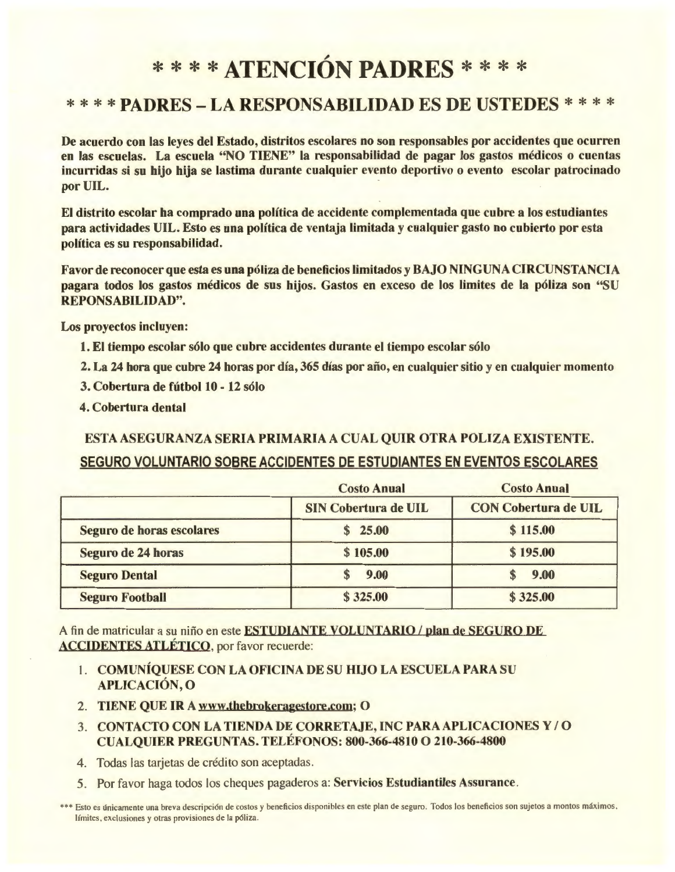# \* \* \* \* ATENCI6N **PADRES** \* \* \* \*

# \* \* \* \* PADRES - LA RESPONSABILIDAD ES DE USTEDES \* \* \* \*

De acuerdo con las leyes del Estado, distritos escolares no son responsables por accidentes que ocurren en las escuelas. La escuela "NO TIENE" la responsabilidad de pagar los gastos medicos o cuentas incurridas si su hijo hija se lastima durante cualquier evento deportivo o evento escolar patrocinado por UIL.

El distrito escolar ha comprado una politica de accidente complementada que cubre a los estudiantes para actividades UIL. Esto es una politica de ventaja limitada y cualquier gasto no cubierto por esta politica es su responsabilidad.

Favor de reconocer que esta es una póliza de beneficios limitados y BAJO NINGUNA CIRCUNSTANCIA pagara todos los gastos medicos de sus hijos. Gastos en exceso de los limites de la poliza son "SU REPONSABILIDAD".

Los proyectos incluyen:

- 1. El tiempo escolar sólo que cubre accidentes durante el tiempo escolar sólo
- 2. La 24 hora que cubre 24 horas por día, 365 días por año, en cualquier sitio y en cualquier momento
- 3. Cobertura de futbol 10 12 solo
- 4. Cobertura dental

ESTA ASEGURANZA SERIA PRIMARIA A CUAL QUIR OTRA POLIZA EXISTENTE. SEGURO VOLUNTARIO SOBRE ACCIDENTES DE ESTUDIANTES EN EVENTOS ESCOLARES

|                           | <b>Costo Anual</b>          | <b>Costo Anual</b>          |
|---------------------------|-----------------------------|-----------------------------|
|                           | <b>SIN Cobertura de UIL</b> | <b>CON Cobertura de UIL</b> |
| Seguro de horas escolares | \$25.00                     | \$115.00                    |
| Seguro de 24 horas        | \$105.00                    | \$195.00                    |
| <b>Seguro Dental</b>      | 9.00<br>S                   | 9.00                        |
| <b>Seguro Football</b>    | \$325.00                    | \$325.00                    |

A fin de matricular a su niño en este **ESTUDIANTE VOLUNTARIO** / plan de SEGURO DE ACCIDENTES AILETICO, por favor recuerde:

- I. COMUNIQUESE CON LA OFICINA DE SU HIJO LA ESCUELA PARA SU APLICACION, 0
- 2. TIENE QUE IR A www.thebrokeragestore.com; 0
- 3. CONTACTO CON LA TIENDA DE CORRETAJE, INC PARA APLICACIONES Y/O CUALQUIER PREGUNTAS. TELEFONOS: 800-366-4810 0 210-366-4800
- 4. Todas las tarjetas de crédito son aceptadas.
- 5. Por favor haga todos los cheques pagaderos a: Servicios Estudiantiles Assurance .

\*\*\* Esto es únicamente una breva descripción de costos y beneficios disponibles en este plan de seguro. Todos los beneficios son sujetos a montos máximos, límites, exclusiones y otras provisiones de la póliza.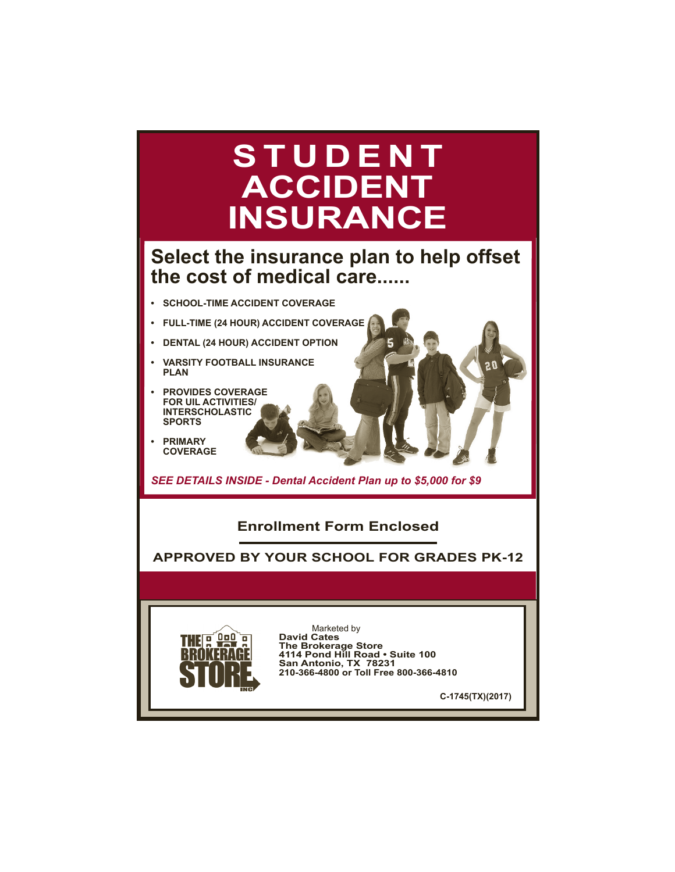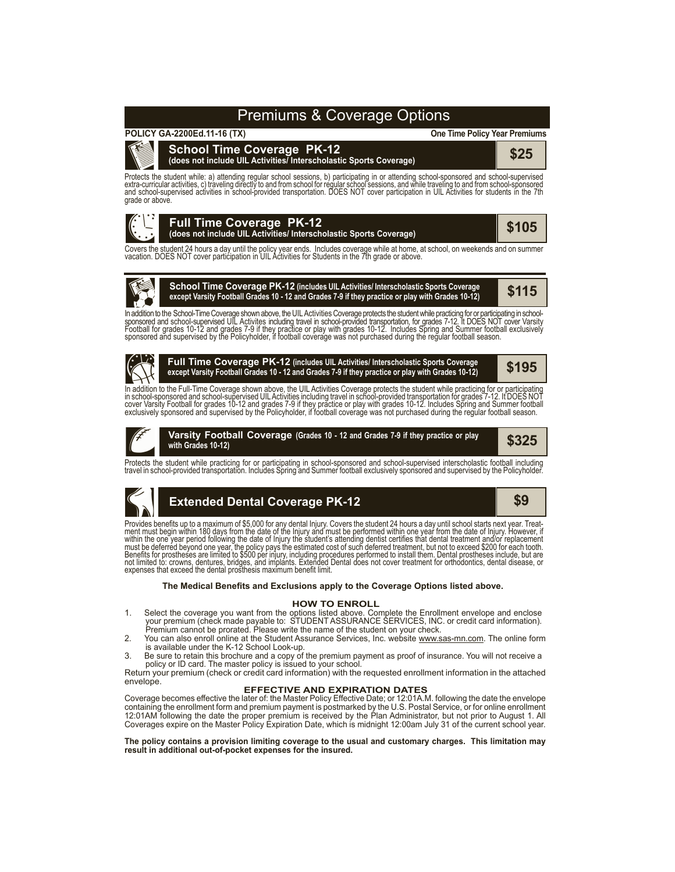# Premiums & Coverage Options

# **POLICY GA-2200Ed.11-16 (TX)**



#### **One Time Policy Year Premiums**

**School Time Coverage PK-12 (does not include UIL Activities/ Interscholastic Sports Coverage) \$25**

Protects the student while: a) attending regular school sessions, b) participating in or attending school-sponsored and school-supervised<br>extra-curricular activities, c) traveling directly to and from school for regular sc grade or above.



Covers the student 24 hours a day until the policy year ends. Includes coverage while at home, at school, on weekends and on summer vacation. DOES NOT cover participation in UIL Activities for Students in the 7th grade or



**School Time Coverage PK-12 (includes UIL Activities/ Interscholastic Sports Coverage** SCHOOL TIME COVETAGE FR-12 (Includes UIL Activities/ Interscholastic Sports Coverage<br>except Varsity Football Grades 10 - 12 and Grades 7-9 if they practice or play with Grades 10-12)

In addition to the School-Time Coverage shown above, the UIL Activities Coverage protects the student while practicing for or participating in school-<br>sponsored and school-supervised UIL Activites including travel in schoo



**Full Time Coverage PK-12 (includes UIL Activities/ Interscholastic Sports Coverage except Varsity Football Grades 10 - 12 and Grades 7-9 if they practice or play with Grades 10-12)**

In addition to the Full-Time Coverage shown above, the UIL Activities Coverage protects the student while practicing for or participating<br>in school-sponsored and school-supervised UIL Activities including travel in schoolexclusively sponsored and supervised by the Policyholder, if football coverage was not purchased during the regular football season.



**\$325 Varsity Football Coverage (Grades <sup>10</sup> - <sup>12</sup> and Grades 7-9 if they practice or play with Grades 10-12)**

Protects the student while practicing for or participating in school-sponsored and school-supervised interscholastic football including<br>travel in school-provided transportation. Includes Spring and Summer football exclusiv



**\$195**

Provides benefits up to a maximum of \$5,000 for any dental Injury. Covers the student 24 hours a day until school starts next year. Treat-<br>ment must begin within 180 days from the date of the Injury and must be performed w within the one year period following the date of Injury the student's attending dentist certifies that dental treatment and/or replacement<br>must be deferred beyond one year, the policy pays the estimated cost of such deferr

### **The Medical Benefits and Exclusions apply to the Coverage Options listed above.**

#### **HOW TO ENROLL**

- 1. Select the coverage you want from the options listed above. Complete the Enrollment envelope and enclose<br>your premium (check made payable to: STUDENT ASSURANCE SERVICES, INC. or credit card information).<br>Premium cannot
- 2. You can also enroll online at the Student Assurance Services, Inc. website www.sas-mn.com. The online form is available under the K-12 School Look-up.

3. Be sure to retain this brochure and a copy of the premium payment as proof of insurance. You will not receive a policy or ID card. The master policy is issued to your school.

Return your premium (check or credit card information) with the requested enrollment information in the attached envelope.

### **EFFECTIVE AND EXPIRATION DATES**

Coverage becomes effective the later of: the Master Policy Effective Date; or 12:01A.M. following the date the envelope containing the enrollment form and premium payment is postmarked by the U.S. Postal Service, or for online enrollment<br>12:01AM following the date the proper premium is received by the Plan Administrator, but not prior to Au Coverages expire on the Master Policy Expiration Date, which is midnight 12:00am July 31 of the current school year.

**The policy contains a provision limiting coverage to the usual and customary charges. This limitation may result in additional out-of-pocket expenses for the insured.**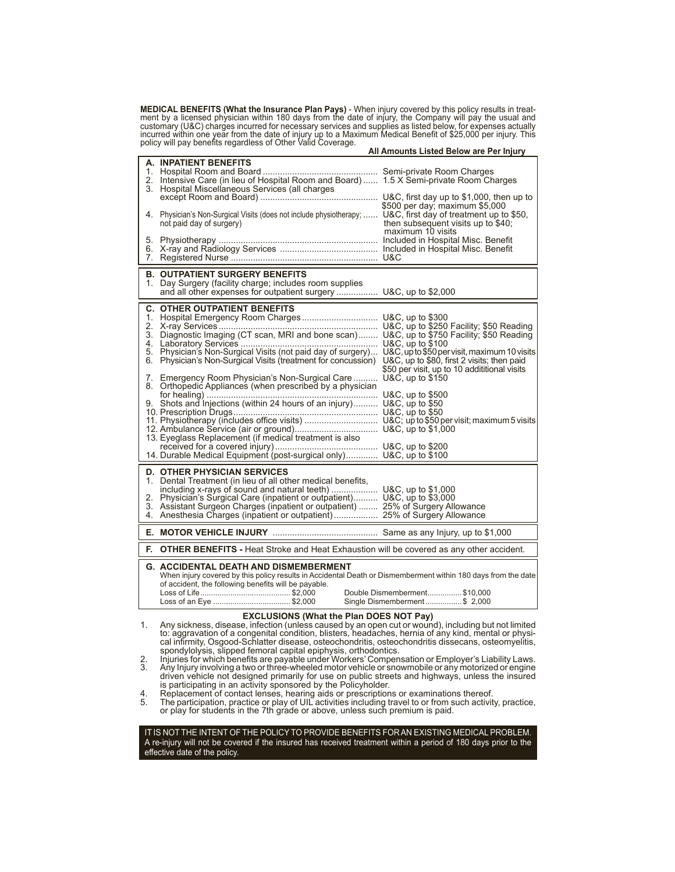MEDICAL BENEFITS (What the Insurance Plan Pays) - When injury covered by this policy results in treat-<br>ment by a licensed physician within 180 days from the date of injury, the Company will pay the usual and<br>customary (U&C

|    |                                                                                                                                                                                                                                                                                                                                                                                                                                                                           | All Amounts Listed Below are Per Injury                                                   |
|----|---------------------------------------------------------------------------------------------------------------------------------------------------------------------------------------------------------------------------------------------------------------------------------------------------------------------------------------------------------------------------------------------------------------------------------------------------------------------------|-------------------------------------------------------------------------------------------|
|    | A. INPATIENT BENEFITS<br>2. Intensive Care (in lieu of Hospital Room and Board)  1.5 X Semi-private Room Charges<br>3. Hospital Miscellaneous Services (all charges                                                                                                                                                                                                                                                                                                       |                                                                                           |
|    | 4. Physician's Non-Surgical Visits (does not include physiotherapy;  U&C, first day of treatment up to \$50,<br>not paid day of surgery)                                                                                                                                                                                                                                                                                                                                  | \$500 per day; maximum \$5,000<br>then subsequent visits up to \$40;<br>maximum 10 visits |
|    |                                                                                                                                                                                                                                                                                                                                                                                                                                                                           |                                                                                           |
|    | <b>B. OUTPATIENT SURGERY BENEFITS</b><br>1. Day Surgery (facility charge; includes room supplies<br>and all other expenses for outpatient surgery  U&C, up to \$2,000                                                                                                                                                                                                                                                                                                     |                                                                                           |
|    | <b>C. OTHER OUTPATIENT BENEFITS</b><br>6. Physician's Non-Surgical Visits (treatment for concussion) U&C, up to \$80, first 2 visits; then paid<br>7. Emergency Room Physician's Non-Surgical Care<br>8. Orthopedic Appliances (when prescribed by a physician<br>9. Shots and Injections (within 24 hours of an injury) U&C, up to \$50<br>13. Eyeglass Replacement (if medical treatment is also<br>14. Durable Medical Equipment (post-surgical only) U&C, up to \$100 | \$50 per visit, up to 10 addititional visits<br>U&C, up to \$150                          |
|    | <b>D. OTHER PHYSICIAN SERVICES</b><br>1. Dental Treatment (in lieu of all other medical benefits,<br>including x-rays of sound and natural teeth)  U&C, up to \$1,000<br>2. Physician's Surgical Care (inpatient or outpatient) U&C, up to \$3,000<br>3. Assistant Surgeon Charges (inpatient or outpatient)  25% of Surgery Allowance                                                                                                                                    |                                                                                           |
|    |                                                                                                                                                                                                                                                                                                                                                                                                                                                                           |                                                                                           |
| Е. | <b>OTHER BENEFITS</b> - Heat Stroke and Heat Exhaustion will be covered as any other accident.                                                                                                                                                                                                                                                                                                                                                                            |                                                                                           |
|    | <b>G. ACCIDENTAL DEATH AND DISMEMBERMENT</b><br>When injury covered by this policy results in Accidental Death or Dismemberment within 180 days from the date<br>of accident, the following benefits will be payable.                                                                                                                                                                                                                                                     | Double Dismemberment\$10,000<br>Single Dismemberment\$ 2,000                              |

#### **EXCLUSIONS (What the Plan DOES NOT Pay)**

1. Any sickness, disease, infection (unless caused by an open cut or wound), including but not limited cal infirmity, Osgood-Schlatter disease, osteochondritis, osteochondritis dissecans, osteomyelitis, spondylolysis, slipped femoral capital epiphysis, orthodontics. 2. Injuries for which benefits are payable under Workers' Compensation or Employer's Liability Laws.

2. Injuries for which benefits are payable under Workers' Compensation or Employer's Liability Laws.<br>3. Any Injury involving a two or three-wheeled motor vehicle or snowmobile or any motorized or engine driven vehicle not designed primarily for use on public streets and highways, unless the insured is participating in an activity sponsored by the Policyholder.

4. Replacement of contact lenses, hearing aids or prescriptions or examinations thereof.<br>5. The participation, practice or play of UIL activities including travel to or from such activity, practice,<br>6.

IT IS NOT THE INTENT OF THE POLICY TO PROVIDE BENEFITS FOR AN EXISTING MEDICAL PROBLEM. A re-injury will not be covered if the insured has received treatment within a period of 180 days prior to the effective date of the policy.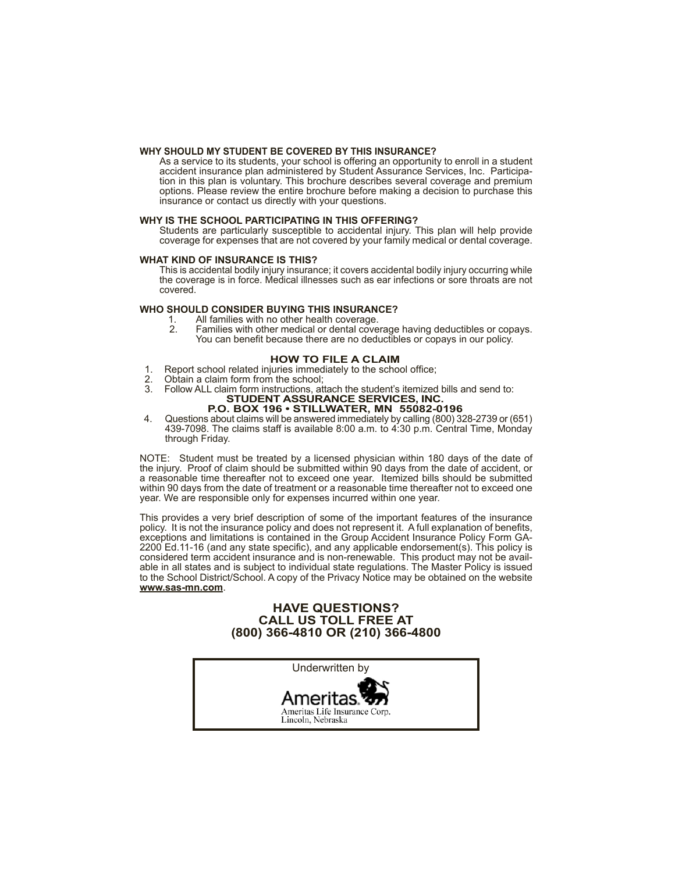#### **WHY SHOULD MY STUDENT BE COVERED BY THIS INSURANCE?**

As a service to its students, your school is offering an opportunity to enroll in a student accident insurance plan administered by Student Assurance Services, Inc. Participation in this plan is voluntary. This brochure describes several coverage and premium options. Please review the entire brochure before making a decision to purchase this insurance or contact us directly with your questions.

#### **WHY IS THE SCHOOL PARTICIPATING IN THIS OFFERING?**

Students are particularly susceptible to accidental injury. This plan will help provide coverage for expenses that are not covered by your family medical or dental coverage.

#### **WHAT KIND OF INSURANCE IS THIS?**

This is accidental bodily injury insurance; it covers accidental bodily injury occurring while the coverage is in force. Medical illnesses such as ear infections or sore throats are not covered.

## **WHO SHOULD CONSIDER BUYING THIS INSURANCE?**

- 1. All families with no other health coverage.<br>2. Families with other medical or dental cove
- Families with other medical or dental coverage having deductibles or copays. You can benefit because there are no deductibles or copays in our policy.

#### **HOW TO FILE A CLAIM**

- 1. Report school related injuries immediately to the school office;<br>2. Obtain a claim form from the school:
- 2. Obtain a claim form from the school;<br>3. Follow ALL claim form instructions at
- 3. Follow ALL claim form instructions, attach the student's itemized bills and send to: **STUDENT ASSURANCE SERVICES, INC.**

### **P.O. BOX 196 • STILLWATER, MN 55082-0196**

4. Questions about claims will be answered immediately by calling (800) 328-2739 or (651) 439-7098. The claims staff is available 8:00 a.m. to 4:30 p.m. Central Time, Monday through Friday.

NOTE: Student must be treated by a licensed physician within 180 days of the date of the injury. Proof of claim should be submitted within 90 days from the date of accident, or a reasonable time thereafter not to exceed one year. Itemized bills should be submitted within 90 days from the date of treatment or a reasonable time thereafter not to exceed one year. We are responsible only for expenses incurred within one year.

This provides a very brief description of some of the important features of the insurance policy. It is not the insurance policy and does not represent it. A full explanation of benefits, exceptions and limitations is contained in the Group Accident Insurance Policy Form GA-2200 Ed.11-16 (and any state specific), and any applicable endorsement(s). This policy is considered term accident insurance and is non-renewable. This product may not be available in all states and is subject to individual state regulations. The Master Policy is issued to the School District/School. A copy of the Privacy Notice may be obtained on the website **www.sas-mn.com**.

# **HAVE QUESTIONS? CALL US TOLL FREE AT (800) 366-4810 OR (210) 366-4800**

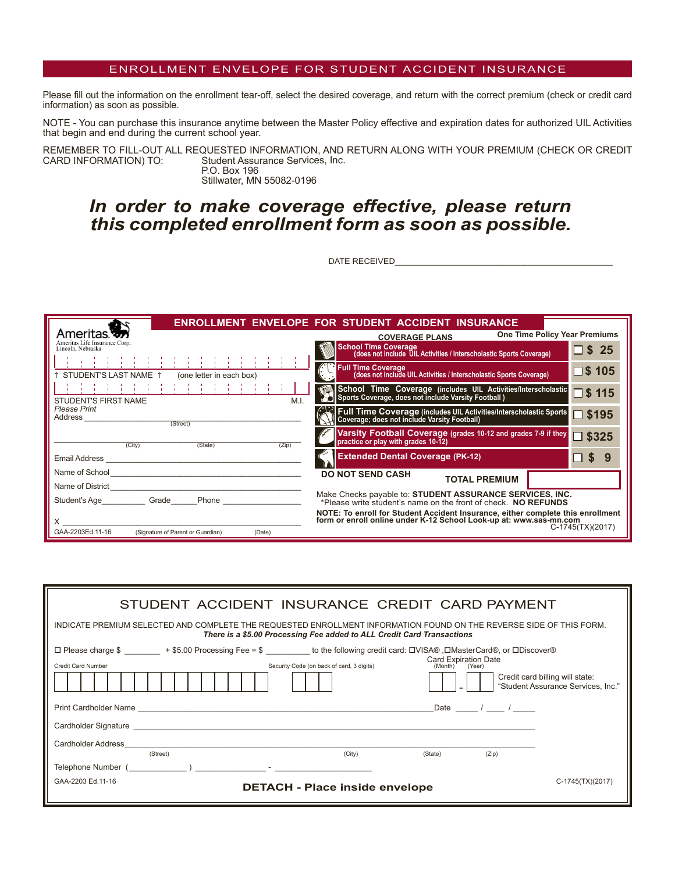# ENROLLMENT ENVELOPE FOR STUDENT ACCIDENT INSURANCE

Please fill out the information on the enrollment tear-off, select the desired coverage, and return with the correct premium (check or credit card information) as soon as possible.

NOTE - You can purchase this insurance anytime between the Master Policy effective and expiration dates for authorized UIL Activities that begin and end during the current school year.

REMEMBER TO FILL-OUT ALL REQUESTED INFORMATION, AND RETURN ALONG WITH YOUR PREMIUM (CHECK OR CREDIT CARD INFORMATION) TO: Student Assurance Services, Inc. Student Assurance Services, Inc. P.O. Box 196 Stillwater, MN 55082-0196

# *In order to make coverage effective, please return this completed enrollment form as soon as possible.*

DATE RECEIVED

|                                                                                                       | <b>ENROLLMENT ENVELOPE FOR STUDENT ACCIDENT INSURANCE</b>                                                                                          |                    |
|-------------------------------------------------------------------------------------------------------|----------------------------------------------------------------------------------------------------------------------------------------------------|--------------------|
| Ameritas.                                                                                             | <b>One Time Policy Year Premiums</b><br><b>COVERAGE PLANS</b>                                                                                      |                    |
| Ameritas Life Insurance Corp.<br>Lincoln, Nebraska<br><b>THE REPORT FOR THE REPORT FOR THE REPORT</b> | School Time Coverage<br>(does not include UIL Activities / Interscholastic Sports Coverage)                                                        | $\Box$ \$25        |
| ↑ STUDENT'S LAST NAME ↑ (one letter in each box)                                                      | Full Time Coverage<br>  (does not include UIL Activities / Interscholastic Sports Coverage)                                                        | $\square$ \$105    |
| ****************<br>M.I.<br><b>STUDENT'S FIRST NAME</b>                                               | School Time Coverage (includes UIL Activities/Interscholastic<br>Si Sports Coverage, does not include Varsity Football )                           | $\square$ \$ 115   |
| <b>Please Print</b><br>Address<br>(Street)                                                            | Full Time Coverage (includes UIL Activities/Interscholastic Sports<br>Coverage; does not include Varsity Football)                                 | $\Box$ \$195       |
| (City)<br>(State)<br>(Zip)                                                                            | Varsity Football Coverage (grades 10-12 and grades 7-9 if they<br>practice or play with grades 10-12)                                              | $\Box$ \$325       |
| Email Address                                                                                         | <b>Extended Dental Coverage (PK-12)</b>                                                                                                            | 5                  |
| Name of School<br>Name of District                                                                    | <b>DO NOT SEND CASH</b><br><b>TOTAL PREMIUM</b>                                                                                                    |                    |
| Student's Age Grade Phone                                                                             | Make Checks payable to: STUDENT ASSURANCE SERVICES, INC.<br>*Please write student's name on the front of check. NO REFUNDS                         |                    |
|                                                                                                       | NOTE: To enroll for Student Accident Insurance, either complete this enrollment form or enroll online under K-12 School Look-up at: www.sas-mn.com | $C-1745(TX)(2017)$ |
| GAA-2203Ed.11-16<br>(Signature of Parent or Guardian)<br>(Date)                                       |                                                                                                                                                    |                    |

| STUDENT ACCIDENT INSURANCE CREDIT CARD PAYMENT                                                                                                                                                                                 |                                                                       |  |  |
|--------------------------------------------------------------------------------------------------------------------------------------------------------------------------------------------------------------------------------|-----------------------------------------------------------------------|--|--|
| INDICATE PREMIUM SELECTED AND COMPLETE THE REQUESTED ENROLLMENT INFORMATION FOUND ON THE REVERSE SIDE OF THIS FORM.<br>There is a \$5.00 Processing Fee added to ALL Credit Card Transactions                                  |                                                                       |  |  |
| □ Please charge \$ _______ + \$5.00 Processing Fee = \$ ________ to the following credit card: □VISA®,□MasterCard®, or □Discover®                                                                                              |                                                                       |  |  |
| <b>Card Expiration Date</b><br>Security Code (on back of card, 3 digits)<br><b>Credit Card Number</b><br>(Month) (Year)                                                                                                        |                                                                       |  |  |
|                                                                                                                                                                                                                                | Credit card billing will state:<br>"Student Assurance Services, Inc." |  |  |
| Date / /                                                                                                                                                                                                                       |                                                                       |  |  |
|                                                                                                                                                                                                                                |                                                                       |  |  |
| Cardholder Address                                                                                                                                                                                                             |                                                                       |  |  |
| (Street)<br>(City)<br>(State)<br>(Zip)                                                                                                                                                                                         |                                                                       |  |  |
| Telephone Number ( and ) and the set of the set of the set of the set of the set of the set of the set of the set of the set of the set of the set of the set of the set of the set of the set of the set of the set of the se |                                                                       |  |  |
| GAA-2203 Ed.11-16<br><b>DETACH - Place inside envelope</b>                                                                                                                                                                     | C-1745(TX)(2017)                                                      |  |  |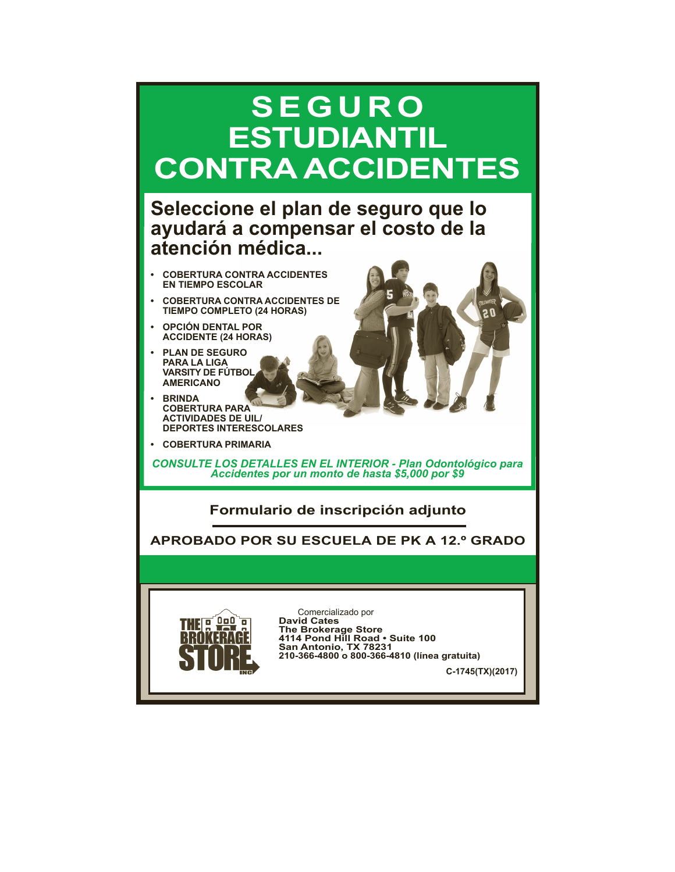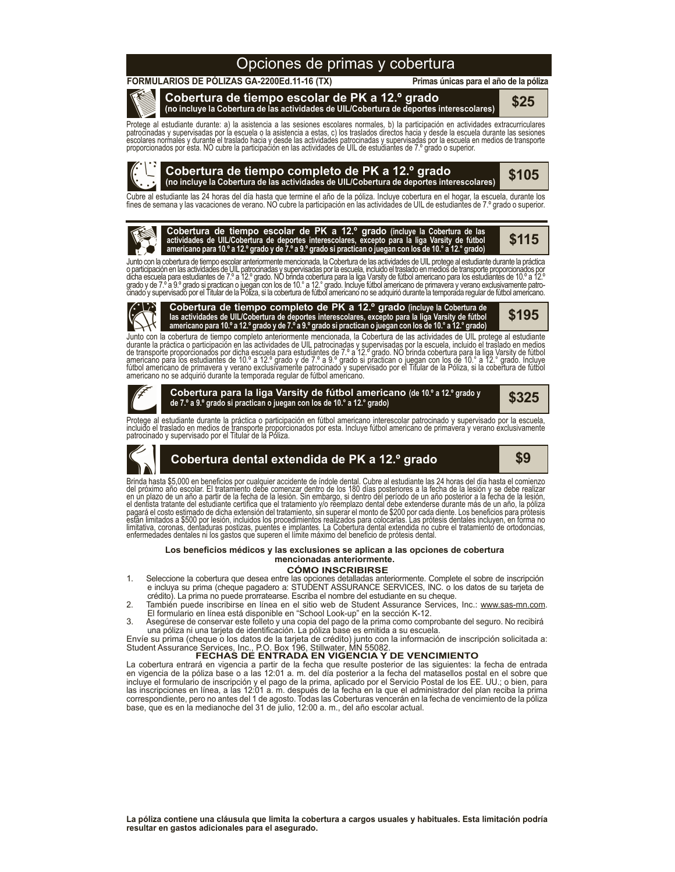# Opciones de primas y cobertura

#### **FORMULARIOS DE PÓLIZAS GA-2200Ed.11-16 (TX)**

**Primas únicas para el año de la póliza**

**Cobertura de tiempo escolar de PK a 12.º grado (no incluye la Cobertura de las actividades de UIL/Cobertura de deportes interescolares) \$25**

Protege al estudiante durante: a) la asistencia a las sesiones escolares normales, b) la participación en actividades extracurriculares<br>patrocinadas y supervisadas por la escuela o la asistencia a estas, c) los traslados d proporcionados por esta. NO cubre la participación en las actividades de UIL de estudiantes de 7.º grado o superior.



Cubre al estudiante las 24 horas del dia hasta que termine el año de la póliza. Incluye cobertura en el hogar, la escuela, durante los<br>fines de semana y las vacaciones de verano. NO cubre la participación en las actividade

Cobertura de tiempo escolar de PK a 12.º grado (incluye la Cobertura de las<br>actividades de UIL/Cobertura de deportes interescolares, excepto para la liga Varsity de fútbol \$115<br>americano para 10.º a 12.º grado y de 7.º a 9

Junto con la cobertura de tiempo escolar anteriormente mencionada, la Cobertura de las actividades de UIL protege al estudiante durante la práctica o participación en las actividades de UIL patrocinadas y supervisadas por la escuela, incluido el traslado en medios de transporte proporcionados por<br>dicha escuela para estudiantes de 7.º a 12.º grado. NO brinda cobertura cinado y supervisado por el Titular de la Póliza, si la cobertura de fútbol americano no se adquirió durante la temporada regular de fútbol americano.



**Cobertura de tiempo completo de PK a 12.º grado (incluye la Cobertura de las actividades de UIL/Cobertura de deportes interescolares, excepto para la liga Varsity de fútbol**  americano para 10.º a 12.º grado y de 7.º a 9.º grado si practican o juegan con los de 10.º a 12.º grado)

**\$195**

Junto con la cobertura de tiempo completo anteriormente mencionada, la Cobertura de las actividades de UIL protege al estudiante durante la practica o participación en las actividades de UIL patrocinadas y supervisadas por la escuela, incluido el traslado en medios<br>de transporte proporcionados por dicha escuela para estudiantes de 7.º a 12.º grado.



**Cobertura para la liga Varsity de fútbol americano (de 10.º <sup>a</sup> 12.º grado <sup>y</sup> de 7.º a 9.º grado si practican o juegan con los de 10.° a 12.° grado)**

**\$325**

Protege al estudiante durante la practica o participación en futbol americano interescolar patrocinado y supervisado por la escuela,<br>incluido el traslado en medios de transporte proporcionados por esta. Incluye fútbol amer



# **Cobertura dental extendida de PK a 12.º grado \$9**

Brinda hasta \$5,000 en beneficios por cualquier accidente de indole dental. Cubre al estudiante las 24 horas del dia hasta el comienzo<br>del próximo año escolar. El tratamento debe comenzar dentro de los 180 días posteriores

#### **CÓMO INSCRIBIRSE Los beneficios médicos y las exclusiones se aplican a las opciones de cobertura mencionadas anteriormente.**

- 1. Seleccione la cobertura que desea entre las opciones detalladas anteriormente. Complete el sobre de inscripción e incluya su prima (cheque pagadero a: STUDENT ASSURANCE SERVICES, INC. o los datos de su tarjeta de crédito). La prima no puede prorratearse. Escriba el nombre del estudiante en su cheque.
- 2. También puede inscribirse en línea en el sitio web de Student Assurance Services, Inc.: www.sas-mn.com. El formulario en línea está disponible en "School Look-up" en la sección K-12.
- 3. Asegúrese de conservar este folleto y una copia del pago de la prima como comprobante del seguro. No recibirá una póliza ni una tarjeta de identificación. La póliza base es emitida a su escuela.

Envíe su prima (cheque o los datos de la tarjeta de crédito) junto con la información de inscripción solicitada a: Student Assurance Services, Inc., P.O. Box 196, Stillwater, MN 55082

### **FECHAS DE ENTRADA EN VIGENCIA Y DE VENCIMIENTO**

La cobertura entrará en vigencia a partir de la fecha que resulte posterior de las siguientes: la fecha de entrada en vigencia de la póliza base o a las 12:01 a. m. del día posterior a la fecha del matasellos postal en el sobre que incluye el formulario de inscripción y el pago de la prima, aplicado por el Servicio Postal de los EE. UU.; o bien, para las inscripciones en línea, a las 12:01 a. m. después de la fecha en la que el administrador del plan reciba la prima correspondiente, pero no antes del 1 de agosto. Todas las Coberturas vencerán en la fecha de vencimiento de la póliza base, que es en la medianoche del 31 de julio, 12:00 a. m., del año escolar actual.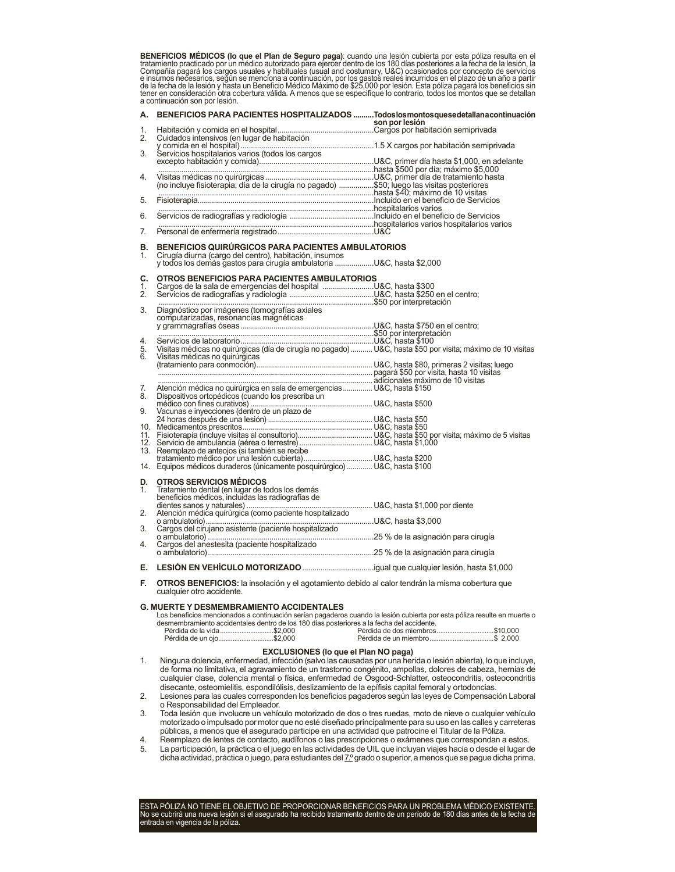**BENEFICIOS MEDICOS (lo que el Plan de Seguro paga)**: cuando una lesión cubierta por esta póliza resulta en el<br>tratamiento practicado por un médico autorizado para ejercer dentro de los 180 días posteriores a la fecha de l a continuación son por lesión.

| А.       | BENEFICIOS PARA PACIENTES HOSPITALIZADOS Todoslosmontosquesedetallanacontinuación                                                                                                                                           |                |
|----------|-----------------------------------------------------------------------------------------------------------------------------------------------------------------------------------------------------------------------------|----------------|
| 1.       |                                                                                                                                                                                                                             | son por lesión |
| 2.       |                                                                                                                                                                                                                             |                |
|          |                                                                                                                                                                                                                             |                |
| 3.       |                                                                                                                                                                                                                             |                |
|          |                                                                                                                                                                                                                             |                |
| 4.       |                                                                                                                                                                                                                             |                |
|          |                                                                                                                                                                                                                             |                |
|          |                                                                                                                                                                                                                             |                |
| 5.       |                                                                                                                                                                                                                             |                |
| 6.       |                                                                                                                                                                                                                             |                |
|          |                                                                                                                                                                                                                             |                |
| 7.       |                                                                                                                                                                                                                             |                |
|          |                                                                                                                                                                                                                             |                |
| В.<br>1. | BENEFICIOS QUIRÚRGICOS PARA PACIENTES AMBULATORIOS                                                                                                                                                                          |                |
|          | Cirugía diurna (cargo del centro), habitación, insumos<br>y todos los demás gastos para cirugía ambulatoria U&C, hasta \$2,000                                                                                              |                |
|          |                                                                                                                                                                                                                             |                |
| C.       | OTROS BENEFICIOS PARA PACIENTES AMBULATORIOS                                                                                                                                                                                |                |
| 1.<br>2. |                                                                                                                                                                                                                             |                |
|          |                                                                                                                                                                                                                             |                |
| 3.       | Diagnóstico por imágenes (tomografías axiales componentes as a por interpretación                                                                                                                                           |                |
|          | computarizadas, resonancias magnéticas                                                                                                                                                                                      |                |
|          |                                                                                                                                                                                                                             |                |
| 4.       |                                                                                                                                                                                                                             |                |
| 5.       | Usitas médicas no quirúrgicas (día de cirugía no pagado)  U&C, hasta \$50 por visita; máximo de 10 visitas                                                                                                                  |                |
| 6.       |                                                                                                                                                                                                                             |                |
|          |                                                                                                                                                                                                                             |                |
|          | adicionales máximo de 10 visitas                                                                                                                                                                                            |                |
| 7.       |                                                                                                                                                                                                                             |                |
| 8        |                                                                                                                                                                                                                             |                |
| 9.       | médico con fines curativos)<br>Wacunas e inyecciones (dentro de un plazo de                                                                                                                                                 |                |
|          |                                                                                                                                                                                                                             |                |
|          |                                                                                                                                                                                                                             |                |
|          |                                                                                                                                                                                                                             |                |
|          |                                                                                                                                                                                                                             |                |
|          |                                                                                                                                                                                                                             |                |
|          |                                                                                                                                                                                                                             |                |
|          |                                                                                                                                                                                                                             |                |
| D.<br>1. | <b>OTROS SERVICIOS MÉDICOS</b>                                                                                                                                                                                              |                |
|          | Tratamiento dental (en lugar de todos los demás<br>beneficios médicos, incluidas las radiografías de                                                                                                                        |                |
|          | dientes sanos y naturales) ao Frantsanas de Michael (n. 1880, hasta \$1,000 por diente Atención médica quirúrgica (como paciente hospitalizado<br>Atención médica quirúrgica (como paciente hospitalizado<br>o ambulatorio) |                |
| 2.       |                                                                                                                                                                                                                             |                |
| 3.       |                                                                                                                                                                                                                             |                |
|          |                                                                                                                                                                                                                             |                |
| 4.       |                                                                                                                                                                                                                             |                |
|          |                                                                                                                                                                                                                             |                |
| Е.       |                                                                                                                                                                                                                             |                |
| F.       | <b>OTROS BENEFICIOS:</b> la insolación y el agotamiento debido al calor tendrán la misma cobertura que<br>cualquier otro accidente.                                                                                         |                |
|          |                                                                                                                                                                                                                             |                |
|          | <b>G. MUERTE Y DESMEMBRAMIENTO ACCIDENTALES</b><br>Los beneficios mencionados a continuación serían nagaderos cuando la lesión cubierta por esta póliza resulte en muerte o                                                 |                |

Los beneficios mencionados a continuación serían pagaderos cuando la lesión cubierta por esta póliza resulte en muerte o desmembramiento accidentales dentro de los 180 días posteriores a la fecha del accidente. Pérdida de la vida..............................\$2,000 Pérdida de dos miembros................................\$10,000 Pérdida de un miembro...

### **EXCLUSIONES (lo que el Plan NO paga)**

1. Ninguna dolencia, enfermedad, infección (salvo las causadas por una herida o lesión abierta), lo que incluye, de forma no limitativa, el agravamiento de un trastorno congénito, ampollas, dolores de cabeza, hernias de cualquier clase, dolencia mental o física, enfermedad de Osgood-Schlatter, osteocondritis, osteocondritis disecante, osteomielitis, espondilólisis, deslizamiento de la epífisis capital femoral y ortodoncias.

2. Lesiones para las cuales corresponden los beneficios pagaderos según las leyes de Compensación Laboral o Responsabilidad del Empleador.

3. Toda lesión que involucre un vehículo motorizado de dos o tres ruedas, moto de nieve o cualquier vehículo motorizado o impulsado por motor que no esté diseñado principalmente para su uso en las calles y carreteras públicas, a menos que el asegurado participe en una actividad que patrocine el Titular de la Póliza.

- 4. Reemplazo de lentes de contacto, audífonos o las prescripciones o exámenes que correspondan a estos.
- 5. La participación, la práctica o el juego en las actividades de UIL que incluyan viajes hacia o desde el lugar de dicha actividad, práctica o juego, para estudiantes del 7.º grado o superior, a menos que se pague dicha prima.

ESTA POLIZA NO TIENE EL OBJETIVO DE PROPORCIONAR BENEFICIOS PARA UN PROBLEMA MEDICO EXISTENTE.<br>No se cubrirá una nueva lesión si el asegurado ha recibido tratamiento dentro de un período de 180 días antes de la fecha de<br>en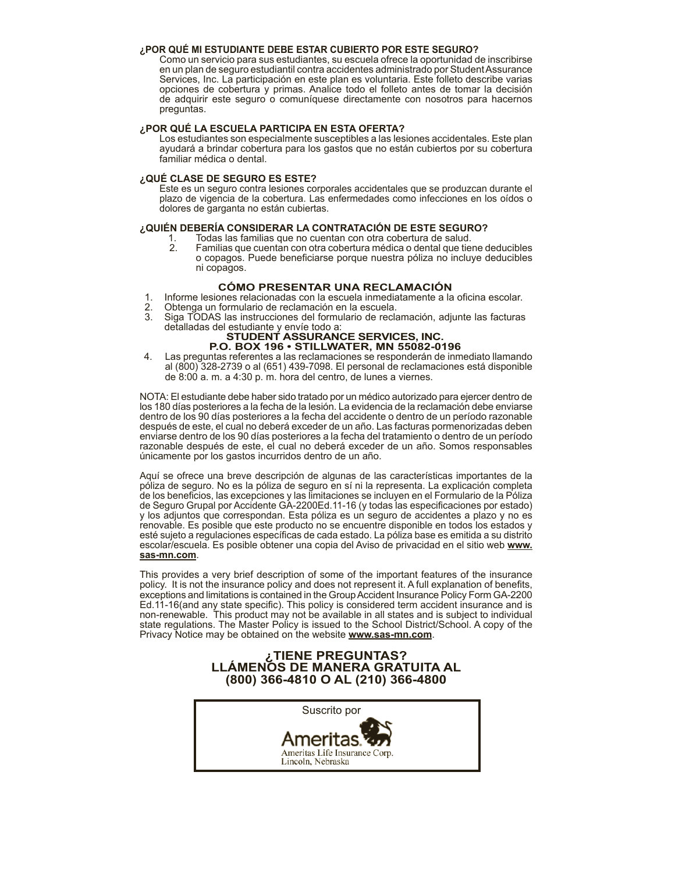#### **¿POR QUÉ MI ESTUDIANTE DEBE ESTAR CUBIERTO POR ESTE SEGURO?**

Como un servicio para sus estudiantes, su escuela ofrece la oportunidad de inscribirse en un plan de seguro estudiantil contra accidentes administrado por Student Assurance Services, Inc. La participación en este plan es voluntaria. Este folleto describe varias opciones de cobertura y primas. Analice todo el folleto antes de tomar la decisión de adquirir este seguro o comuníquese directamente con nosotros para hacernos preguntas.

#### **¿POR QUÉ LA ESCUELA PARTICIPA EN ESTA OFERTA?**

Los estudiantes son especialmente susceptibles a las lesiones accidentales. Este plan ayudará a brindar cobertura para los gastos que no están cubiertos por su cobertura familiar médica o dental.

### **¿QUÉ CLASE DE SEGURO ES ESTE?**

Este es un seguro contra lesiones corporales accidentales que se produzcan durante el plazo de vigencia de la cobertura. Las enfermedades como infecciones en los oídos o dolores de garganta no están cubiertas.

### **¿QUIÉN DEBERÍA CONSIDERAR LA CONTRATACIÓN DE ESTE SEGURO?**

- 1. Todas las familias que no cuentan con otra cobertura de salud.
	- Familias que cuentan con otra cobertura médica o dental que tiene deducibles o copagos. Puede beneficiarse porque nuestra póliza no incluye deducibles ni copagos.

### **CÓMO PRESENTAR UNA RECLAMACIÓN**

- 1. Informe lesiones relacionadas con la escuela inmediatamente a la oficina escolar.<br>2. Obtenga un formulario de reclamación en la escuela.<br>3. Siga TODAS las instrucciones del formulario de reclamación, adjunte las factura
- 
- 3. Siga TODAS las instrucciones del formulario de reclamación, adjunte las facturas detalladas del estudiante y envíe todo a: **STUDENT ASSURANCE SERVICES, INC.**

# **P.O. BOX 196 • STILLWATER, MN 55082-0196**

4. Las preguntas referentes a las reclamaciones se responderán de inmediato llamando al (800) 328-2739 o al (651) 439-7098. El personal de reclamaciones está disponible de 8:00 a. m. a 4:30 p. m. hora del centro, de lunes a viernes.

NOTA: El estudiante debe haber sido tratado por un médico autorizado para ejercer dentro de los 180 días posteriores a la fecha de la lesión. La evidencia de la reclamación debe enviarse dentro de los 90 días posteriores a la fecha del accidente o dentro de un período razonable después de este, el cual no deberá exceder de un año. Las facturas pormenorizadas deben enviarse dentro de los 90 días posteriores a la fecha del tratamiento o dentro de un período razonable después de este, el cual no deberá exceder de un año. Somos responsables únicamente por los gastos incurridos dentro de un año.

Aquí se ofrece una breve descripción de algunas de las características importantes de la póliza de seguro. No es la póliza de seguro en sí ni la representa. La explicación completa de los beneficios, las excepciones y las limitaciones se incluyen en el Formulario de la Póliza de Seguro Grupal por Accidente GA-2200Ed.11-16 (y todas las especificaciones por estado) y los adjuntos que correspondan. Esta póliza es un seguro de accidentes a plazo y no es renovable. Es posible que este producto no se encuentre disponible en todos los estados y esté sujeto a regulaciones específicas de cada estado. La póliza base es emitida a su distrito escolar/escuela. Es posible obtener una copia del Aviso de privacidad en el sitio web **www. sas-mn.com**.

This provides a very brief description of some of the important features of the insurance policy. It is not the insurance policy and does not represent it. A full explanation of benefits, exceptions and limitations is contained in the Group Accident Insurance Policy Form GA-2200 Ed.11-16(and any state specific). This policy is considered term accident insurance and is non-renewable. This product may not be available in all states and is subject to individual state regulations. The Master Policy is issued to the School District/School. A copy of the Privacy Notice may be obtained on the website **www.sas-mn.com**.

# **¿TIENE PREGUNTAS? LLÁMENOS DE MANERA GRATUITA AL (800) 366-4810 O AL (210) 366-4800**